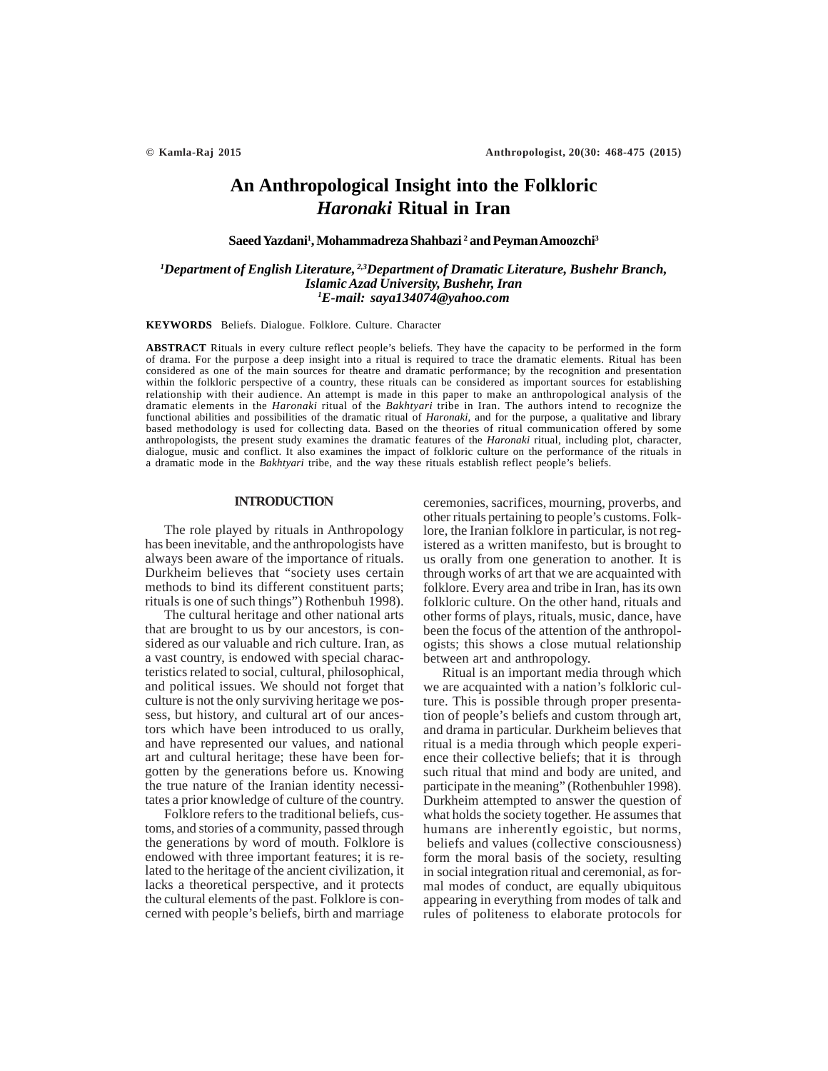# **An Anthropological Insight into the Folkloric** *Haronaki* **Ritual in Iran**

## **Saeed Yazdani1 , Mohammadreza Shahbazi 2 and Peyman Amoozchi3**

# *1 Department of English Literature, 2,3Department of Dramatic Literature, Bushehr Branch, Islamic Azad University, Bushehr, Iran 1 E-mail: saya134074@yahoo.com*

#### **KEYWORDS** Beliefs. Dialogue. Folklore. Culture. Character

**ABSTRACT** Rituals in every culture reflect people's beliefs. They have the capacity to be performed in the form of drama. For the purpose a deep insight into a ritual is required to trace the dramatic elements. Ritual has been considered as one of the main sources for theatre and dramatic performance; by the recognition and presentation within the folkloric perspective of a country, these rituals can be considered as important sources for establishing relationship with their audience. An attempt is made in this paper to make an anthropological analysis of the dramatic elements in the *Haronaki* ritual of the *Bakhtyari* tribe in Iran. The authors intend to recognize the functional abilities and possibilities of the dramatic ritual of *Haronaki*, and for the purpose, a qualitative and library based methodology is used for collecting data. Based on the theories of ritual communication offered by some anthropologists, the present study examines the dramatic features of the *Haronaki* ritual, including plot, character, dialogue, music and conflict. It also examines the impact of folkloric culture on the performance of the rituals in a dramatic mode in the *Bakhtyari* tribe, and the way these rituals establish reflect people's beliefs.

## **INTRODUCTION**

The role played by rituals in Anthropology has been inevitable, and the anthropologists have always been aware of the importance of rituals. Durkheim believes that "society uses certain methods to bind its different constituent parts; rituals is one of such things") Rothenbuh 1998).

The cultural heritage and other national arts that are brought to us by our ancestors, is considered as our valuable and rich culture. Iran, as a vast country, is endowed with special characteristics related to social, cultural, philosophical, and political issues. We should not forget that culture is not the only surviving heritage we possess, but history, and cultural art of our ancestors which have been introduced to us orally, and have represented our values, and national art and cultural heritage; these have been forgotten by the generations before us. Knowing the true nature of the Iranian identity necessitates a prior knowledge of culture of the country.

Folklore refers to the traditional beliefs, customs, and stories of a community, passed through the generations by word of mouth. Folklore is endowed with three important features; it is related to the heritage of the ancient civilization, it lacks a theoretical perspective, and it protects the cultural elements of the past. Folklore is concerned with people's beliefs, birth and marriage ceremonies, sacrifices, mourning, proverbs, and other rituals pertaining to people's customs. Folklore, the Iranian folklore in particular, is not registered as a written manifesto, but is brought to us orally from one generation to another. It is through works of art that we are acquainted with folklore. Every area and tribe in Iran, has its own folkloric culture. On the other hand, rituals and other forms of plays, rituals, music, dance, have been the focus of the attention of the anthropologists; this shows a close mutual relationship between art and anthropology.

Ritual is an important media through which we are acquainted with a nation's folkloric culture. This is possible through proper presentation of people's beliefs and custom through art, and drama in particular. Durkheim believes that ritual is a media through which people experience their collective beliefs; that it is through such ritual that mind and body are united, and participate in the meaning" (Rothenbuhler 1998). Durkheim attempted to answer the question of what holds the society together. He assumes that humans are inherently egoistic, but norms, beliefs and values (collective consciousness) form the moral basis of the society, resulting in social integration ritual and ceremonial, as formal modes of conduct, are equally ubiquitous appearing in everything from modes of talk and rules of politeness to elaborate protocols for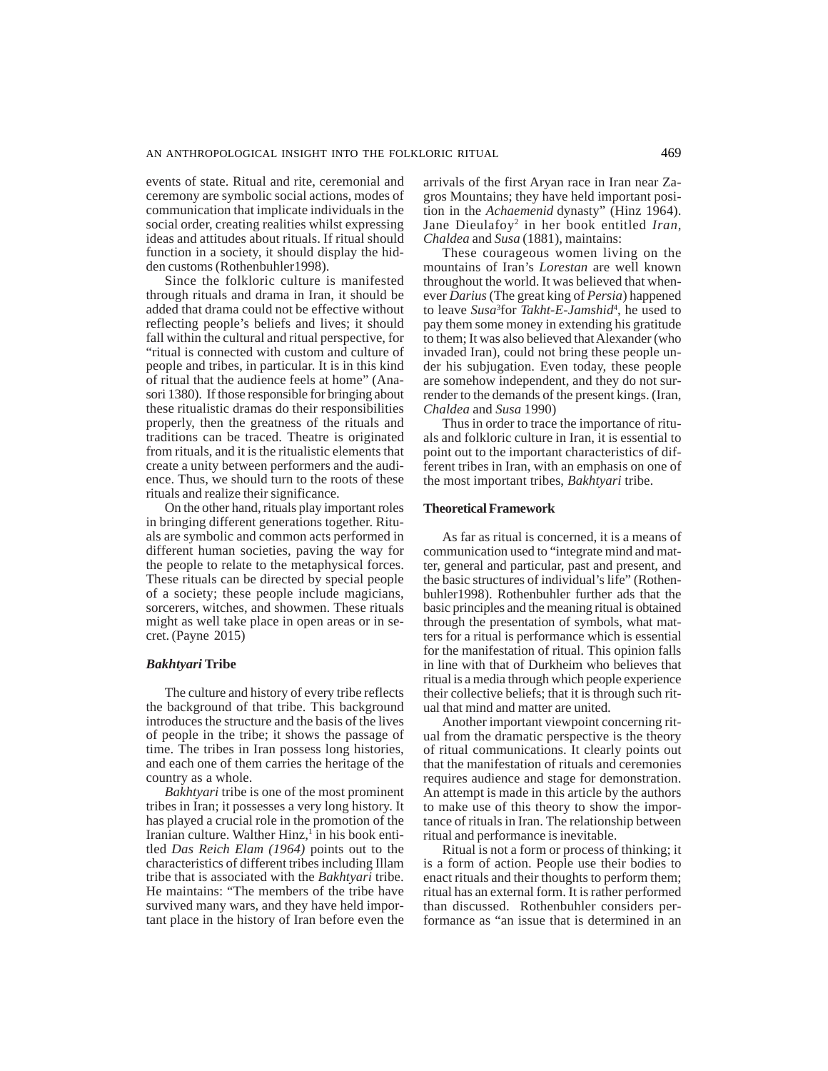events of state. Ritual and rite, ceremonial and ceremony are symbolic social actions, modes of communication that implicate individuals in the social order, creating realities whilst expressing ideas and attitudes about rituals. If ritual should function in a society, it should display the hidden customs (Rothenbuhler1998).

Since the folkloric culture is manifested through rituals and drama in Iran, it should be added that drama could not be effective without reflecting people's beliefs and lives; it should fall within the cultural and ritual perspective, for "ritual is connected with custom and culture of people and tribes, in particular. It is in this kind of ritual that the audience feels at home" (Anasori 1380). If those responsible for bringing about these ritualistic dramas do their responsibilities properly, then the greatness of the rituals and traditions can be traced. Theatre is originated from rituals, and it is the ritualistic elements that create a unity between performers and the audience. Thus, we should turn to the roots of these rituals and realize their significance.

On the other hand, rituals play important roles in bringing different generations together. Rituals are symbolic and common acts performed in different human societies, paving the way for the people to relate to the metaphysical forces. These rituals can be directed by special people of a society; these people include magicians, sorcerers, witches, and showmen. These rituals might as well take place in open areas or in secret. (Payne 2015)

## *Bakhtyari* **Tribe**

The culture and history of every tribe reflects the background of that tribe. This background introduces the structure and the basis of the lives of people in the tribe; it shows the passage of time. The tribes in Iran possess long histories, and each one of them carries the heritage of the country as a whole.

*Bakhtyari* tribe is one of the most prominent tribes in Iran; it possesses a very long history. It has played a crucial role in the promotion of the Iranian culture. Walther Hinz,<sup>1</sup> in his book entitled *Das Reich Elam (1964)* points out to the characteristics of different tribes including Illam tribe that is associated with the *Bakhtyari* tribe. He maintains: "The members of the tribe have survived many wars, and they have held important place in the history of Iran before even the arrivals of the first Aryan race in Iran near Zagros Mountains; they have held important position in the *Achaemenid* dynasty" (Hinz 1964). Jane Dieulafoy2 in her book entitled *Iran, Chaldea* and *Susa* (1881), maintains:

These courageous women living on the mountains of Iran's *Lorestan* are well known throughout the world. It was believed that whenever *Darius* (The great king of *Persia*) happened to leave *Susa*<sup>3</sup> for *Takht-E-Jamshid*<sup>4</sup> , he used to pay them some money in extending his gratitude to them; It was also believed that Alexander (who invaded Iran), could not bring these people under his subjugation. Even today, these people are somehow independent, and they do not surrender to the demands of the present kings. (Iran, *Chaldea* and *Susa* 1990)

Thus in order to trace the importance of rituals and folkloric culture in Iran, it is essential to point out to the important characteristics of different tribes in Iran, with an emphasis on one of the most important tribes, *Bakhtyari* tribe.

## **Theoretical Framework**

As far as ritual is concerned, it is a means of communication used to "integrate mind and matter, general and particular, past and present, and the basic structures of individual's life" (Rothenbuhler1998). Rothenbuhler further ads that the basic principles and the meaning ritual is obtained through the presentation of symbols, what matters for a ritual is performance which is essential for the manifestation of ritual. This opinion falls in line with that of Durkheim who believes that ritual is a media through which people experience their collective beliefs; that it is through such ritual that mind and matter are united.

Another important viewpoint concerning ritual from the dramatic perspective is the theory of ritual communications. It clearly points out that the manifestation of rituals and ceremonies requires audience and stage for demonstration. An attempt is made in this article by the authors to make use of this theory to show the importance of rituals in Iran. The relationship between ritual and performance is inevitable.

Ritual is not a form or process of thinking; it is a form of action. People use their bodies to enact rituals and their thoughts to perform them; ritual has an external form. It is rather performed than discussed. Rothenbuhler considers performance as "an issue that is determined in an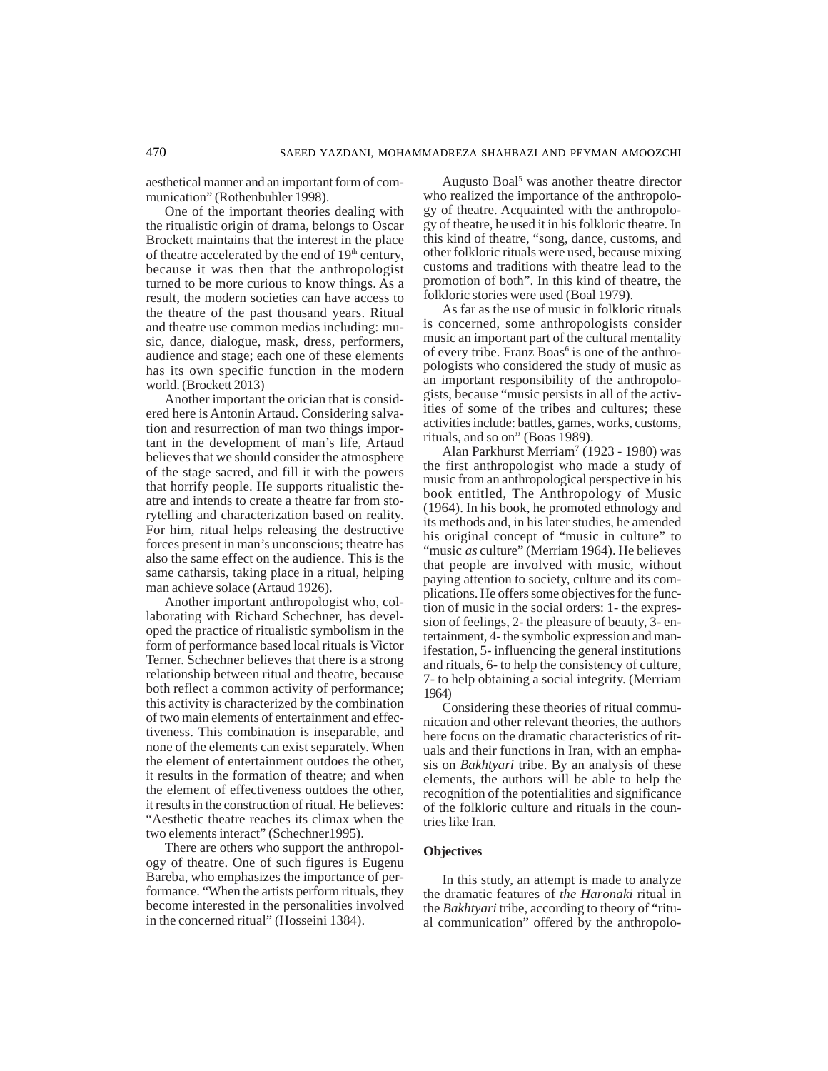aesthetical manner and an important form of communication" (Rothenbuhler 1998).

One of the important theories dealing with the ritualistic origin of drama, belongs to Oscar Brockett maintains that the interest in the place of theatre accelerated by the end of  $19<sup>th</sup>$  century, because it was then that the anthropologist turned to be more curious to know things. As a result, the modern societies can have access to the theatre of the past thousand years. Ritual and theatre use common medias including: music, dance, dialogue, mask, dress, performers, audience and stage; each one of these elements has its own specific function in the modern world. (Brockett 2013)

Another important the orician that is considered here is Antonin Artaud. Considering salvation and resurrection of man two things important in the development of man's life, Artaud believes that we should consider the atmosphere of the stage sacred, and fill it with the powers that horrify people. He supports ritualistic theatre and intends to create a theatre far from storytelling and characterization based on reality. For him, ritual helps releasing the destructive forces present in man's unconscious; theatre has also the same effect on the audience. This is the same catharsis, taking place in a ritual, helping man achieve solace (Artaud 1926).

Another important anthropologist who, collaborating with Richard Schechner, has developed the practice of ritualistic symbolism in the form of performance based local rituals is Victor Terner. Schechner believes that there is a strong relationship between ritual and theatre, because both reflect a common activity of performance; this activity is characterized by the combination of two main elements of entertainment and effectiveness. This combination is inseparable, and none of the elements can exist separately. When the element of entertainment outdoes the other, it results in the formation of theatre; and when the element of effectiveness outdoes the other, it results in the construction of ritual. He believes: "Aesthetic theatre reaches its climax when the two elements interact" (Schechner1995).

There are others who support the anthropology of theatre. One of such figures is Eugenu Bareba, who emphasizes the importance of performance. "When the artists perform rituals, they become interested in the personalities involved in the concerned ritual" (Hosseini 1384).

Augusto Boal<sup>5</sup> was another theatre director who realized the importance of the anthropology of theatre. Acquainted with the anthropology of theatre, he used it in his folkloric theatre. In this kind of theatre, "song, dance, customs, and other folkloric rituals were used, because mixing customs and traditions with theatre lead to the promotion of both". In this kind of theatre, the folkloric stories were used (Boal 1979).

As far as the use of music in folkloric rituals is concerned, some anthropologists consider music an important part of the cultural mentality of every tribe. Franz Boas<sup>6</sup> is one of the anthropologists who considered the study of music as an important responsibility of the anthropologists, because "music persists in all of the activities of some of the tribes and cultures; these activities include: battles, games, works, customs, rituals, and so on" (Boas 1989).

Alan Parkhurst Merriam**<sup>7</sup>** (1923 - 1980) was the first anthropologist who made a study of music from an anthropological perspective in his book entitled, The Anthropology of Music (1964). In his book, he promoted ethnology and its methods and, in his later studies, he amended his original concept of "music in culture" to "music *as* culture" (Merriam 1964). He believes that people are involved with music, without paying attention to society, culture and its complications. He offers some objectives for the function of music in the social orders: 1- the expression of feelings, 2- the pleasure of beauty, 3- entertainment, 4- the symbolic expression and manifestation, 5- influencing the general institutions and rituals, 6- to help the consistency of culture, 7- to help obtaining a social integrity. (Merriam 1964)

Considering these theories of ritual communication and other relevant theories, the authors here focus on the dramatic characteristics of rituals and their functions in Iran, with an emphasis on *Bakhtyari* tribe. By an analysis of these elements, the authors will be able to help the recognition of the potentialities and significance of the folkloric culture and rituals in the countries like Iran.

# **Objectives**

In this study, an attempt is made to analyze the dramatic features of *the Haronaki* ritual in the *Bakhtyari* tribe, according to theory of "ritual communication" offered by the anthropolo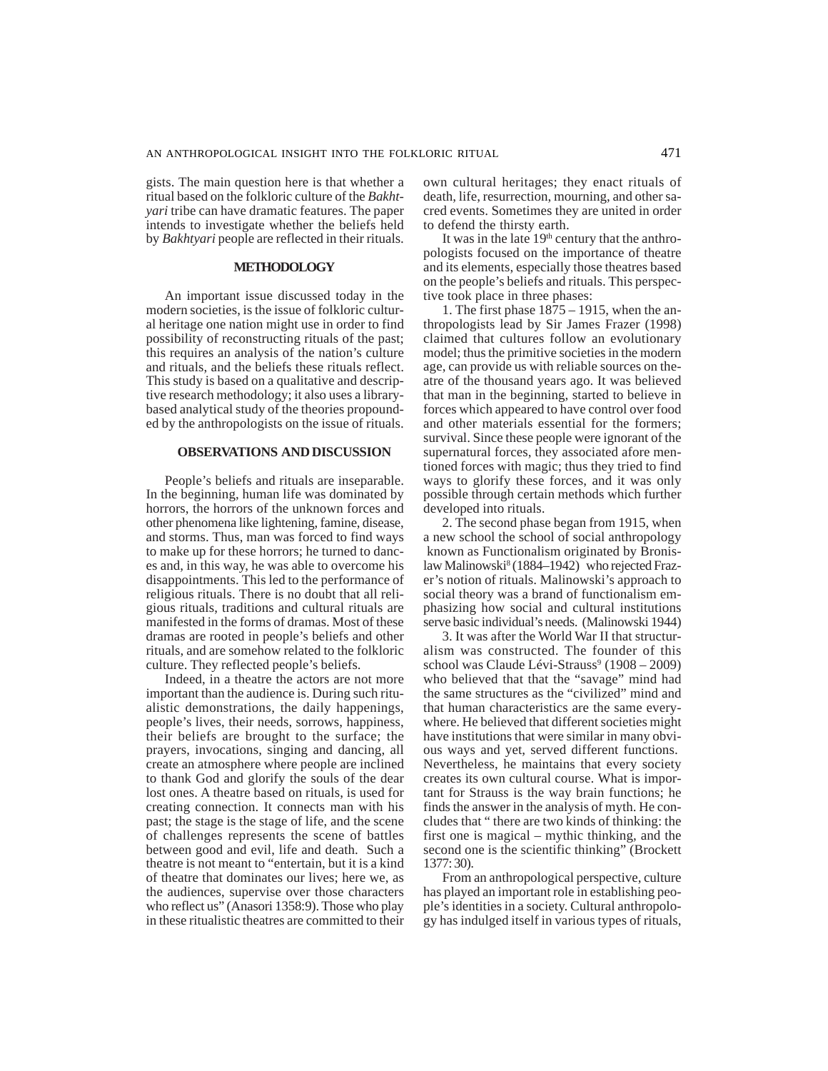gists. The main question here is that whether a ritual based on the folkloric culture of the *Bakhtyari* tribe can have dramatic features. The paper intends to investigate whether the beliefs held by *Bakhtyari* people are reflected in their rituals.

## **METHODOLOGY**

An important issue discussed today in the modern societies, is the issue of folkloric cultural heritage one nation might use in order to find possibility of reconstructing rituals of the past; this requires an analysis of the nation's culture and rituals, and the beliefs these rituals reflect. This study is based on a qualitative and descriptive research methodology; it also uses a librarybased analytical study of the theories propounded by the anthropologists on the issue of rituals.

## **OBSERVATIONS AND DISCUSSION**

People's beliefs and rituals are inseparable. In the beginning, human life was dominated by horrors, the horrors of the unknown forces and other phenomena like lightening, famine, disease, and storms. Thus, man was forced to find ways to make up for these horrors; he turned to dances and, in this way, he was able to overcome his disappointments. This led to the performance of religious rituals. There is no doubt that all religious rituals, traditions and cultural rituals are manifested in the forms of dramas. Most of these dramas are rooted in people's beliefs and other rituals, and are somehow related to the folkloric culture. They reflected people's beliefs.

Indeed, in a theatre the actors are not more important than the audience is. During such ritualistic demonstrations, the daily happenings, people's lives, their needs, sorrows, happiness, their beliefs are brought to the surface; the prayers, invocations, singing and dancing, all create an atmosphere where people are inclined to thank God and glorify the souls of the dear lost ones. A theatre based on rituals, is used for creating connection. It connects man with his past; the stage is the stage of life, and the scene of challenges represents the scene of battles between good and evil, life and death. Such a theatre is not meant to "entertain, but it is a kind of theatre that dominates our lives; here we, as the audiences, supervise over those characters who reflect us" (Anasori 1358:9). Those who play in these ritualistic theatres are committed to their

own cultural heritages; they enact rituals of death, life, resurrection, mourning, and other sacred events. Sometimes they are united in order to defend the thirsty earth.

It was in the late  $19<sup>th</sup>$  century that the anthropologists focused on the importance of theatre and its elements, especially those theatres based on the people's beliefs and rituals. This perspective took place in three phases:

1. The first phase 1875 – 1915, when the anthropologists lead by Sir James Frazer (1998) claimed that cultures follow an evolutionary model; thus the primitive societies in the modern age, can provide us with reliable sources on theatre of the thousand years ago. It was believed that man in the beginning, started to believe in forces which appeared to have control over food and other materials essential for the formers; survival. Since these people were ignorant of the supernatural forces, they associated afore mentioned forces with magic; thus they tried to find ways to glorify these forces, and it was only possible through certain methods which further developed into rituals.

2. The second phase began from 1915, when a new school the school of social anthropology known as Functionalism originated by Bronislaw Malinowski<sup>8</sup> (1884–1942) who rejected Frazer's notion of rituals. Malinowski's approach to social theory was a brand of functionalism emphasizing how social and cultural institutions serve basic individual's needs. (Malinowski 1944)

3. It was after the World War II that structuralism was constructed. The founder of this school was Claude Lévi-Strauss<sup>9</sup> (1908 – 2009) who believed that that the "savage" mind had the same structures as the "civilized" mind and that human characteristics are the same everywhere. He believed that different societies might have institutions that were similar in many obvious ways and yet, served different functions. Nevertheless, he maintains that every society creates its own cultural course. What is important for Strauss is the way brain functions; he finds the answer in the analysis of myth. He concludes that " there are two kinds of thinking: the first one is magical – mythic thinking, and the second one is the scientific thinking" (Brockett 1377: 30).

From an anthropological perspective, culture has played an important role in establishing people's identities in a society. Cultural anthropology has indulged itself in various types of rituals,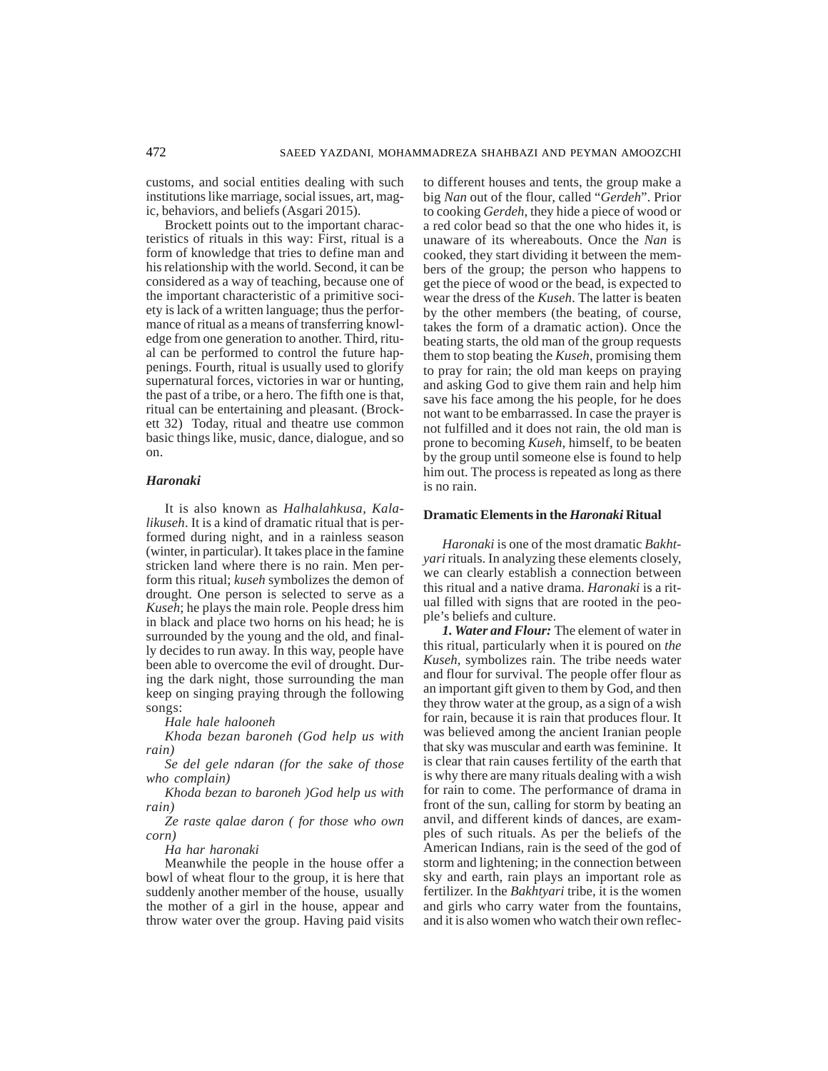customs, and social entities dealing with such institutions like marriage, social issues, art, magic, behaviors, and beliefs (Asgari 2015).

Brockett points out to the important characteristics of rituals in this way: First, ritual is a form of knowledge that tries to define man and his relationship with the world. Second, it can be considered as a way of teaching, because one of the important characteristic of a primitive society is lack of a written language; thus the performance of ritual as a means of transferring knowledge from one generation to another. Third, ritual can be performed to control the future happenings. Fourth, ritual is usually used to glorify supernatural forces, victories in war or hunting, the past of a tribe, or a hero. The fifth one is that, ritual can be entertaining and pleasant. (Brockett 32) Today, ritual and theatre use common basic things like, music, dance, dialogue, and so on.

#### *Haronaki*

It is also known as *Halhalahkusa*, *Kalalikuseh*. It is a kind of dramatic ritual that is performed during night, and in a rainless season (winter, in particular). It takes place in the famine stricken land where there is no rain. Men perform this ritual; *kuseh* symbolizes the demon of drought. One person is selected to serve as a *Kuseh*; he plays the main role. People dress him in black and place two horns on his head; he is surrounded by the young and the old, and finally decides to run away. In this way, people have been able to overcome the evil of drought. During the dark night, those surrounding the man keep on singing praying through the following songs:

*Hale hale halooneh*

*Khoda bezan baroneh (God help us with rain)*

*Se del gele ndaran (for the sake of those who complain)*

*Khoda bezan to baroneh )God help us with rain)*

*Ze raste qalae daron ( for those who own corn)*

*Ha har haronaki*

Meanwhile the people in the house offer a bowl of wheat flour to the group, it is here that suddenly another member of the house, usually the mother of a girl in the house, appear and throw water over the group. Having paid visits

to different houses and tents, the group make a big *Nan* out of the flour, called "*Gerdeh*". Prior to cooking *Gerdeh*, they hide a piece of wood or a red color bead so that the one who hides it, is unaware of its whereabouts. Once the *Nan* is cooked, they start dividing it between the members of the group; the person who happens to get the piece of wood or the bead, is expected to wear the dress of the *Kuseh*. The latter is beaten by the other members (the beating, of course, takes the form of a dramatic action). Once the beating starts, the old man of the group requests them to stop beating the *Kuseh*, promising them to pray for rain; the old man keeps on praying and asking God to give them rain and help him save his face among the his people, for he does not want to be embarrassed. In case the prayer is not fulfilled and it does not rain, the old man is prone to becoming *Kuseh*, himself, to be beaten by the group until someone else is found to help him out. The process is repeated as long as there is no rain.

#### **Dramatic Elements in the** *Haronaki* **Ritual**

*Haronaki* is one of the most dramatic *Bakhtyari* rituals. In analyzing these elements closely, we can clearly establish a connection between this ritual and a native drama. *Haronaki* is a ritual filled with signs that are rooted in the people's beliefs and culture.

*1. Water and Flour:* The element of water in this ritual, particularly when it is poured on *the Kuseh,* symbolizes rain. The tribe needs water and flour for survival. The people offer flour as an important gift given to them by God, and then they throw water at the group, as a sign of a wish for rain, because it is rain that produces flour. It was believed among the ancient Iranian people that sky was muscular and earth was feminine. It is clear that rain causes fertility of the earth that is why there are many rituals dealing with a wish for rain to come. The performance of drama in front of the sun, calling for storm by beating an anvil, and different kinds of dances, are examples of such rituals. As per the beliefs of the American Indians, rain is the seed of the god of storm and lightening; in the connection between sky and earth, rain plays an important role as fertilizer. In the *Bakhtyari* tribe, it is the women and girls who carry water from the fountains, and it is also women who watch their own reflec-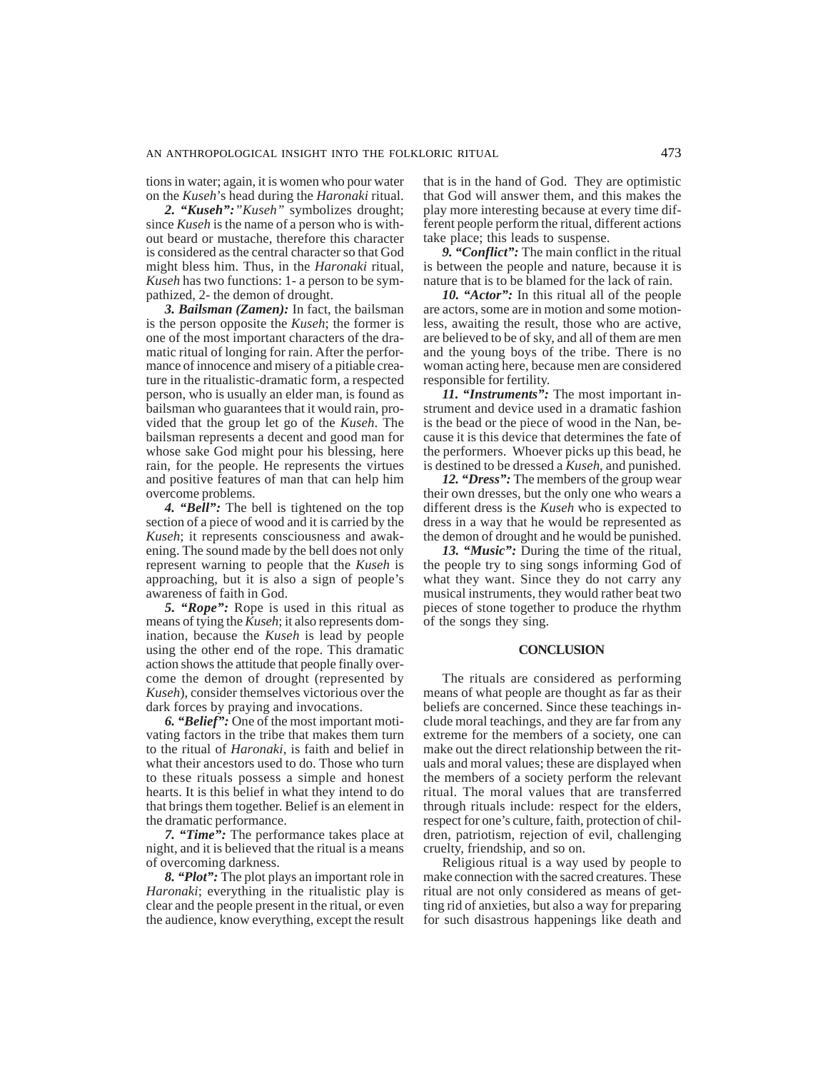tions in water; again, it is women who pour water on the *Kuseh*'s head during the *Haronaki* ritual.

*2. "Kuseh":"Kuseh"* symbolizes drought; since *Kuseh* is the name of a person who is without beard or mustache, therefore this character is considered as the central character so that God might bless him. Thus, in the *Haronaki* ritual, *Kuseh* has two functions: 1- a person to be sympathized, 2- the demon of drought.

*3. Bailsman (Zamen):* In fact, the bailsman is the person opposite the *Kuseh*; the former is one of the most important characters of the dramatic ritual of longing for rain. After the performance of innocence and misery of a pitiable creature in the ritualistic-dramatic form, a respected person, who is usually an elder man, is found as bailsman who guarantees that it would rain, provided that the group let go of the *Kuseh*. The bailsman represents a decent and good man for whose sake God might pour his blessing, here rain, for the people. He represents the virtues and positive features of man that can help him overcome problems.

*4. "Bell":* The bell is tightened on the top section of a piece of wood and it is carried by the *Kuseh*; it represents consciousness and awakening. The sound made by the bell does not only represent warning to people that the *Kuseh* is approaching, but it is also a sign of people's awareness of faith in God.

*5. "Rope":* Rope is used in this ritual as means of tying the *Kuseh*; it also represents domination, because the *Kuseh* is lead by people using the other end of the rope. This dramatic action shows the attitude that people finally overcome the demon of drought (represented by *Kuseh*), consider themselves victorious over the dark forces by praying and invocations.

*6. "Belief":* One of the most important motivating factors in the tribe that makes them turn to the ritual of *Haronaki*, is faith and belief in what their ancestors used to do. Those who turn to these rituals possess a simple and honest hearts. It is this belief in what they intend to do that brings them together. Belief is an element in the dramatic performance.

*7. "Time":* The performance takes place at night, and it is believed that the ritual is a means of overcoming darkness.

*8. "Plot":* The plot plays an important role in *Haronaki*; everything in the ritualistic play is clear and the people present in the ritual, or even the audience, know everything, except the result that is in the hand of God. They are optimistic that God will answer them, and this makes the play more interesting because at every time different people perform the ritual, different actions take place; this leads to suspense.

*9. "Conflict":* The main conflict in the ritual is between the people and nature, because it is nature that is to be blamed for the lack of rain.

*10. "Actor":* In this ritual all of the people are actors, some are in motion and some motionless, awaiting the result, those who are active, are believed to be of sky, and all of them are men and the young boys of the tribe. There is no woman acting here, because men are considered responsible for fertility.

*11. "Instruments":* The most important instrument and device used in a dramatic fashion is the bead or the piece of wood in the Nan, because it is this device that determines the fate of the performers. Whoever picks up this bead, he is destined to be dressed a *Kuseh*, and punished.

*12. "Dress":* The members of the group wear their own dresses, but the only one who wears a different dress is the *Kuseh* who is expected to dress in a way that he would be represented as the demon of drought and he would be punished.

*13. "Music":* During the time of the ritual, the people try to sing songs informing God of what they want. Since they do not carry any musical instruments, they would rather beat two pieces of stone together to produce the rhythm of the songs they sing.

#### **CONCLUSION**

The rituals are considered as performing means of what people are thought as far as their beliefs are concerned. Since these teachings include moral teachings, and they are far from any extreme for the members of a society, one can make out the direct relationship between the rituals and moral values; these are displayed when the members of a society perform the relevant ritual. The moral values that are transferred through rituals include: respect for the elders, respect for one's culture, faith, protection of children, patriotism, rejection of evil, challenging cruelty, friendship, and so on.

Religious ritual is a way used by people to make connection with the sacred creatures. These ritual are not only considered as means of getting rid of anxieties, but also a way for preparing for such disastrous happenings like death and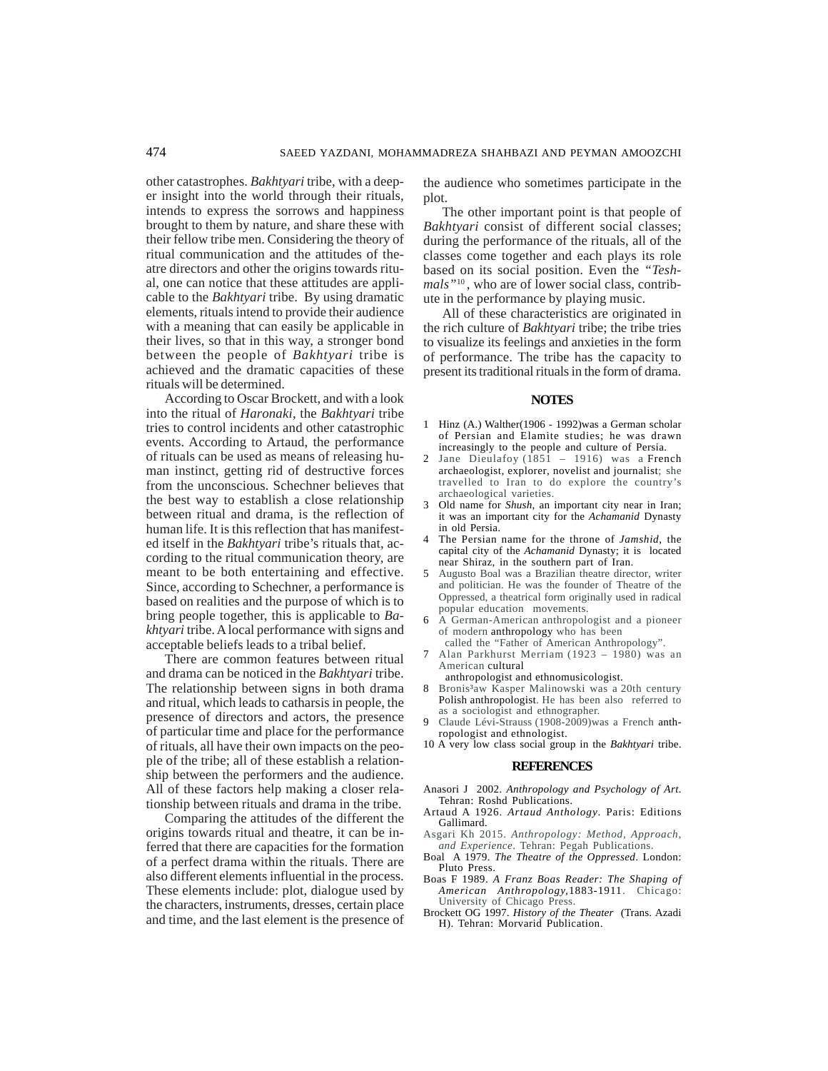other catastrophes. *Bakhtyari* tribe, with a deeper insight into the world through their rituals, intends to express the sorrows and happiness brought to them by nature, and share these with their fellow tribe men. Considering the theory of ritual communication and the attitudes of theatre directors and other the origins towards ritual, one can notice that these attitudes are applicable to the *Bakhtyari* tribe. By using dramatic elements, rituals intend to provide their audience with a meaning that can easily be applicable in their lives, so that in this way, a stronger bond between the people of *Bakhtyari* tribe is achieved and the dramatic capacities of these rituals will be determined.

According to Oscar Brockett, and with a look into the ritual of *Haronaki*, the *Bakhtyari* tribe tries to control incidents and other catastrophic events. According to Artaud, the performance of rituals can be used as means of releasing human instinct, getting rid of destructive forces from the unconscious. Schechner believes that the best way to establish a close relationship between ritual and drama, is the reflection of human life. It is this reflection that has manifested itself in the *Bakhtyari* tribe's rituals that, according to the ritual communication theory, are meant to be both entertaining and effective. Since, according to Schechner, a performance is based on realities and the purpose of which is to bring people together, this is applicable to *Bakhtyari* tribe. A local performance with signs and acceptable beliefs leads to a tribal belief.

There are common features between ritual and drama can be noticed in the *Bakhtyari* tribe. The relationship between signs in both drama and ritual, which leads to catharsis in people, the presence of directors and actors, the presence of particular time and place for the performance of rituals, all have their own impacts on the people of the tribe; all of these establish a relationship between the performers and the audience. All of these factors help making a closer relationship between rituals and drama in the tribe.

Comparing the attitudes of the different the origins towards ritual and theatre, it can be inferred that there are capacities for the formation of a perfect drama within the rituals. There are also different elements influential in the process. These elements include: plot, dialogue used by the characters, instruments, dresses, certain place and time, and the last element is the presence of the audience who sometimes participate in the plot.

The other important point is that people of *Bakhtyari* consist of different social classes; during the performance of the rituals, all of the classes come together and each plays its role based on its social position. Even the *"Tesh*mals<sup>"10</sup>, who are of lower social class, contribute in the performance by playing music.

All of these characteristics are originated in the rich culture of *Bakhtyari* tribe; the tribe tries to visualize its feelings and anxieties in the form of performance. The tribe has the capacity to present its traditional rituals in the form of drama.

#### **NOTES**

- 1 Hinz (A.) Walther(1906 1992)was a German scholar of Persian and Elamite studies; he was drawn increasingly to the people and culture of Persia.
- 2 Jane Dieulafoy (1851 1916) was a French archaeologist, explorer, novelist and journalist; she travelled to Iran to do explore the country's archaeological varieties.
- 3 Old name for *Shush*, an important city near in Iran; it was an important city for the *Achamanid* Dynasty in old Persia.
- 4 The Persian name for the throne of *Jamshid,* the capital city of the *Achamanid* Dynasty; it is located near Shiraz, in the southern part of Iran.
- 5 Augusto Boal was a Brazilian theatre director, writer and politician. He was the founder of Theatre of the Oppressed, a theatrical form originally used in radical popular education movements.
- 6 A German-American anthropologist and a pioneer of modern anthropology who has been called the "Father of American Anthropology".
- 7 Alan Parkhurst Merriam (1923 1980) was an American cultural

anthropologist and ethnomusicologist.

- 8 Bronis<sup>3</sup>aw Kasper Malinowski was a 20th century Polish anthropologist. He has been also referred to as a sociologist and ethnographer.
- Claude Lévi-Strauss (1908-2009)was a French anthropologist and ethnologist.
- 10 A very low class social group in the *Bakhtyari* tribe.

#### **REFERENCES**

- Anasori J 2002. *Anthropology and Psychology of Art*. Tehran: Roshd Publications.
- Artaud A 1926. *Artaud Anthology*. Paris: Editions Gallimard.
- Asgari Kh 2015. *Anthropology: Method, Approach, and Experience*. Tehran: Pegah Publications.
- Boal A 1979. *The Theatre of the Oppressed*. London: Pluto Press.
- Boas F 1989. *A Franz Boas Reader: The Shaping of American Anthropology,*1883-1911. Chicago: University of Chicago Press.
- Brockett OG 1997. *History of the Theater* (Trans. Azadi H). Tehran: Morvarid Publication.